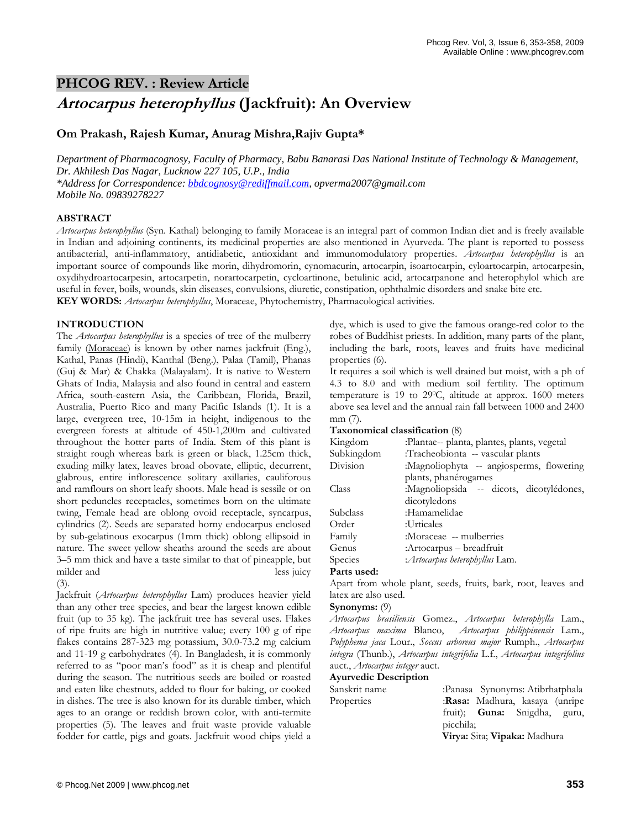# **PHCOG REV. : Review Article**

# **Artocarpus heterophyllus (Jackfruit): An Overview**

## **Om Prakash, Rajesh Kumar, Anurag Mishra,Rajiv Gupta\***

*Department of Pharmacognosy, Faculty of Pharmacy, Babu Banarasi Das National Institute of Technology & Management, Dr. Akhilesh Das Nagar, Lucknow 227 105, U.P., India \*Address for Correspondence: bbdcognosy@rediffmail.com, opverma2007@gmail.com Mobile No. 09839278227* 

## **ABSTRACT**

*Artocarpus heterophyllus* (Syn. Kathal) belonging to family Moraceae is an integral part of common Indian diet and is freely available in Indian and adjoining continents, its medicinal properties are also mentioned in Ayurveda. The plant is reported to possess antibacterial, anti-inflammatory, antidiabetic, antioxidant and immunomodulatory properties. *Artocarpus heterophyllus* is an important source of compounds like morin, dihydromorin, cynomacurin, artocarpin, isoartocarpin, cyloartocarpin, artocarpesin, oxydihydroartocarpesin, artocarpetin, norartocarpetin, cycloartinone, betulinic acid, artocarpanone and heterophylol which are useful in fever, boils, wounds, skin diseases, convulsions, diuretic, constipation, ophthalmic disorders and snake bite etc. **KEY WORDS:** *Artocarpus heterophyllus*, Moraceae, Phytochemistry, Pharmacological activities.

## **INTRODUCTION**

The *Artocarpus heterophyllus* is a species of tree of the mulberry family (Moraceae) is known by other names jackfruit (Eng.), Kathal, Panas (Hindi), Kanthal (Beng.), Palaa (Tamil), Phanas (Guj & Mar) & Chakka (Malayalam). It is native to Western Ghats of India, Malaysia and also found in central and eastern Africa, south-eastern Asia, the Caribbean, Florida, Brazil, Australia, Puerto Rico and many Pacific Islands (1). It is a large, evergreen tree, 10-15m in height, indigenous to the evergreen forests at altitude of 450-1,200m and cultivated throughout the hotter parts of India. Stem of this plant is straight rough whereas bark is green or black, 1.25cm thick, exuding milky latex, leaves broad obovate, elliptic, decurrent, glabrous, entire inflorescence solitary axillaries, cauliforous and ramflours on short leafy shoots. Male head is sessile or on short peduncles receptacles, sometimes born on the ultimate twing, Female head are oblong ovoid receptacle, syncarpus, cylindrics (2). Seeds are separated horny endocarpus enclosed by sub-gelatinous exocarpus (1mm thick) oblong ellipsoid in nature. The sweet yellow sheaths around the seeds are about 3–5 mm thick and have a taste similar to that of pineapple, but milder and less juicy (3).

Jackfruit (*Artocarpus heterophyllus* Lam) produces heavier yield than any other tree species, and bear the largest known edible fruit (up to 35 kg). The jackfruit tree has several uses. Flakes of ripe fruits are high in nutritive value; every 100 g of ripe flakes contains 287-323 mg potassium, 30.0-73.2 mg calcium and 11-19 g carbohydrates (4). In Bangladesh, it is commonly referred to as "poor man's food" as it is cheap and plentiful during the season. The nutritious seeds are boiled or roasted and eaten like chestnuts, added to flour for baking, or cooked in dishes. The tree is also known for its durable timber, which ages to an orange or reddish brown color, with anti-termite properties (5). The leaves and fruit waste provide valuable fodder for cattle, pigs and goats. Jackfruit wood chips yield a

dye, which is used to give the famous orange-red color to the robes of Buddhist priests. In addition, many parts of the plant, including the bark, roots, leaves and fruits have medicinal properties (6).

It requires a soil which is well drained but moist, with a ph of 4.3 to 8.0 and with medium soil fertility. The optimum temperature is 19 to 29<sup>0</sup>C, altitude at approx. 1600 meters above sea level and the annual rain fall between 1000 and 2400 mm (7).

#### **Taxonomical classification** (8)

| Kingdom    | :Plantae-- planta, plantes, plants, vegetal |
|------------|---------------------------------------------|
| Subkingdom | :Tracheobionta -- vascular plants           |
| Division   | :Magnoliophyta -- angiosperms, flowering    |
|            | plants, phanérogames                        |
| Class      | :Magnoliopsida -- dicots, dicotylédones,    |
|            | dicotyledons                                |
| Subclass   | :Hamamelidae                                |
| Order      | :Urticales                                  |
| Family     | :Moraceae -- mulberries                     |
| Genus      | :Artocarpus – breadfruit                    |
| Species    | : Artocarpus heterophyllus Lam.             |

## **Parts used:**

Apart from whole plant, seeds, fruits, bark, root, leaves and latex are also used.

#### **Synonyms:** (9)

*Artocarpus brasiliensis* Gomez., *Artocarpus heterophylla* Lam., *Artocarpus maxima* Blanco, *Artocarpus philippinensis* Lam., *Polyphema jaca* Lour., *Soccus arboreus major* Rumph., *Artocarpus integra* (Thunb.), *Artocarpus integrifolia* L.f., *Artocarpus integrifolius*  auct., *Artocarpus integer* auct.

#### **Ayurvedic Description**

| Sanskrit name | :Panasa Synonyms: Atibrhatphala     |
|---------------|-------------------------------------|
| Properties    | :Rasa: Madhura, kasaya (unripe      |
|               | fruit); <b>Guna:</b> Snigdha, guru, |
|               | picchila;                           |
|               | Virya: Sita; Vipaka: Madhura        |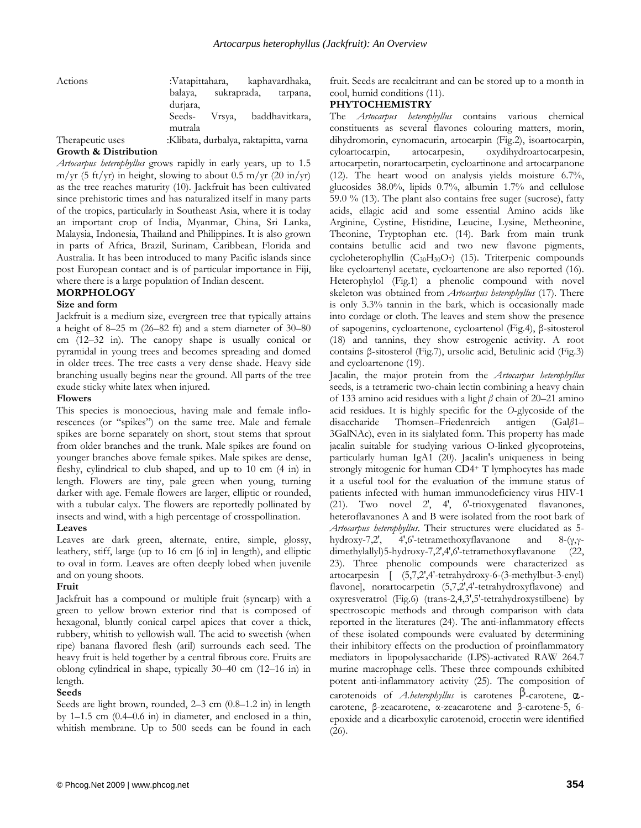Actions :Vatapittahara, kaphavardhaka, balaya, sukraprada, tarpana, durjara, Seeds- Vrsya, baddhavitkara,

mutrala

Therapeutic uses :Klibata, durbalya, raktapitta, varna

### **Growth & Distribution**

*Artocarpus heterophyllus* grows rapidly in early years, up to 1.5  $m/yr$  (5 ft/yr) in height, slowing to about 0.5 m/yr (20 in/yr) as the tree reaches maturity (10). Jackfruit has been cultivated since prehistoric times and has naturalized itself in many parts of the tropics, particularly in Southeast Asia, where it is today an important crop of India, Myanmar, China, Sri Lanka, Malaysia, Indonesia, Thailand and Philippines. It is also grown in parts of Africa, Brazil, Surinam, Caribbean, Florida and Australia. It has been introduced to many Pacific islands since post European contact and is of particular importance in Fiji, where there is a large population of Indian descent.

## **MORPHOLOGY**

## **Size and form**

Jackfruit is a medium size, evergreen tree that typically attains a height of 8–25 m (26–82 ft) and a stem diameter of 30–80 cm (12–32 in). The canopy shape is usually conical or pyramidal in young trees and becomes spreading and domed in older trees. The tree casts a very dense shade. Heavy side branching usually begins near the ground. All parts of the tree exude sticky white latex when injured.

### **Flowers**

This species is monoecious, having male and female inflorescences (or "spikes") on the same tree. Male and female spikes are borne separately on short, stout stems that sprout from older branches and the trunk. Male spikes are found on younger branches above female spikes. Male spikes are dense, fleshy, cylindrical to club shaped, and up to 10 cm (4 in) in length. Flowers are tiny, pale green when young, turning darker with age. Female flowers are larger, elliptic or rounded, with a tubular calyx. The flowers are reportedly pollinated by insects and wind, with a high percentage of crosspollination.

## **Leaves**

Leaves are dark green, alternate, entire, simple, glossy, leathery, stiff, large (up to 16 cm [6 in] in length), and elliptic to oval in form. Leaves are often deeply lobed when juvenile and on young shoots.

## **Fruit**

Jackfruit has a compound or multiple fruit (syncarp) with a green to yellow brown exterior rind that is composed of hexagonal, bluntly conical carpel apices that cover a thick, rubbery, whitish to yellowish wall. The acid to sweetish (when ripe) banana flavored flesh (aril) surrounds each seed. The heavy fruit is held together by a central fibrous core. Fruits are oblong cylindrical in shape, typically 30–40 cm (12–16 in) in length.

## **Seeds**

Seeds are light brown, rounded, 2–3 cm (0.8–1.2 in) in length by 1–1.5 cm (0.4–0.6 in) in diameter, and enclosed in a thin, whitish membrane. Up to 500 seeds can be found in each fruit. Seeds are recalcitrant and can be stored up to a month in cool, humid conditions (11).

## **PHYTOCHEMISTRY**

The *Artocarpus heterophyllus* contains various chemical constituents as several flavones colouring matters, morin, dihydromorin, cynomacurin, artocarpin (Fig.2), isoartocarpin, cyloartocarpin, artocarpesin, oxydihydroartocarpesin, artocarpetin, norartocarpetin, cycloartinone and artocarpanone (12). The heart wood on analysis yields moisture 6.7%, glucosides 38.0%, lipids 0.7%, albumin 1.7% and cellulose 59.0 % (13). The plant also contains free suger (sucrose), fatty acids, ellagic acid and some essential Amino acids like Arginine, Cystine, Histidine, Leucine, Lysine, Metheonine, Theonine, Tryptophan etc. (14). Bark from main trunk contains betullic acid and two new flavone pigments, cycloheterophyllin (C<sub>30</sub>H<sub>30</sub>O<sub>7</sub>) (15). Triterpenic compounds like cycloartenyl acetate, cycloartenone are also reported (16). Heterophylol (Fig.1) a phenolic compound with novel skeleton was obtained from *Artocarpus heterophyllus* (17). There is only 3.3% tannin in the bark, which is occasionally made into cordage or cloth. The leaves and stem show the presence of sapogenins, cycloartenone, cycloartenol (Fig.4), β-sitosterol (18) and tannins, they show estrogenic activity. A root contains β-sitosterol (Fig.7), ursolic acid, Betulinic acid (Fig.3) and cycloartenone (19).

Jacalin, the major protein from the *Artocarpus heterophyllus* seeds, is a tetrameric two-chain lectin combining a heavy chain of 133 amino acid residues with a light *β* chain of 20–21 amino acid residues. It is highly specific for the *O*-glycoside of the disaccharide Thomsen–Friedenreich antigen (Gal*β*1– 3GalNAc), even in its sialylated form. This property has made jacalin suitable for studying various O-linked glycoproteins, particularly human IgA1 (20). Jacalin's uniqueness in being strongly mitogenic for human CD4+ T lymphocytes has made it a useful tool for the evaluation of the immune status of patients infected with human immunodeficiency virus HIV-1 (21). Two novel 2′, 4′, 6′-trioxygenated flavanones, heteroflavanones A and B were isolated from the root bark of *Artocarpus heterophyllus*. Their structures were elucidated as 5 hydroxy-7,2′, 4′,6′-tetramethoxyflavanone and 8-(γ,γdimethylallyl)5-hydroxy-7,2′,4′,6′-tetramethoxyflavanone (22, 23). Three phenolic compounds were characterized as artocarpesin [ (5,7,2',4'-tetrahydroxy-6-(3-methylbut-3-enyl) flavone], norartocarpetin (5,7,2',4'-tetrahydroxyflavone) and oxyresveratrol (Fig.6) (trans-2,4,3',5'-tetrahydroxystilbene) by spectroscopic methods and through comparison with data reported in the literatures (24). The anti-inflammatory effects of these isolated compounds were evaluated by determining their inhibitory effects on the production of proinflammatory mediators in lipopolysaccharide (LPS)-activated RAW 264.7 murine macrophage cells. These three compounds exhibited potent anti-inflammatory activity (25). The composition of carotenoids of *A.heterophyllus* is carotenes  $\beta$ -carotene,  $\alpha$ carotene, β-zeacarotene, α-zeacarotene and β-carotene-5, 6 epoxide and a dicarboxylic carotenoid, crocetin were identified (26).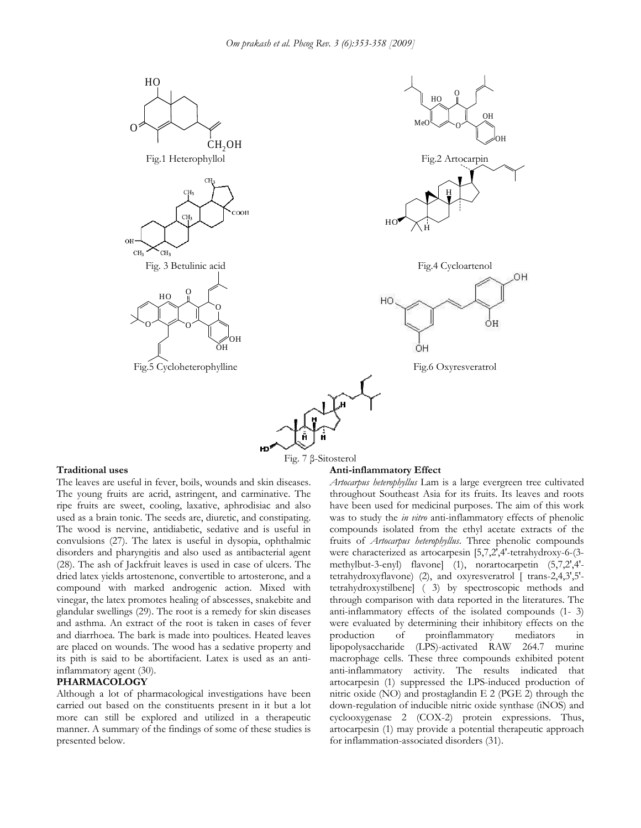

#### **Traditional uses**

The leaves are useful in fever, boils, wounds and skin diseases. The young fruits are acrid, astringent, and carminative. The ripe fruits are sweet, cooling, laxative, aphrodisiac and also used as a brain tonic. The seeds are, diuretic, and constipating. The wood is nervine, antidiabetic, sedative and is useful in convulsions (27). The latex is useful in dysopia, ophthalmic disorders and pharyngitis and also used as antibacterial agent (28). The ash of Jackfruit leaves is used in case of ulcers. The dried latex yields artostenone, convertible to artosterone, and a compound with marked androgenic action. Mixed with vinegar, the latex promotes healing of abscesses, snakebite and glandular swellings (29). The root is a remedy for skin diseases and asthma. An extract of the root is taken in cases of fever and diarrhoea. The bark is made into poultices. Heated leaves are placed on wounds. The wood has a sedative property and its pith is said to be abortifacient. Latex is used as an antiinflammatory agent (30).

#### **PHARMACOLOGY**

Although a lot of pharmacological investigations have been carried out based on the constituents present in it but a lot more can still be explored and utilized in a therapeutic manner. A summary of the findings of some of these studies is presented below.

#### **Anti-inflammatory Effect**

*Artocarpus heterophyllus* Lam is a large evergreen tree cultivated throughout Southeast Asia for its fruits. Its leaves and roots have been used for medicinal purposes. The aim of this work was to study the *in vitro* anti-inflammatory effects of phenolic compounds isolated from the ethyl acetate extracts of the fruits of *Artocarpus heterophyllus*. Three phenolic compounds were characterized as artocarpesin [5,7,2',4'-tetrahydroxy-6-(3 methylbut-3-enyl) flavone] (1), norartocarpetin (5,7,2',4' tetrahydroxyflavone) (2), and oxyresveratrol [ trans-2,4,3',5' tetrahydroxystilbene] ( 3) by spectroscopic methods and through comparison with data reported in the literatures. The anti-inflammatory effects of the isolated compounds (1- 3) were evaluated by determining their inhibitory effects on the production of proinflammatory mediators in lipopolysaccharide (LPS)-activated RAW 264.7 murine macrophage cells. These three compounds exhibited potent anti-inflammatory activity. The results indicated that artocarpesin (1) suppressed the LPS-induced production of nitric oxide (NO) and prostaglandin E 2 (PGE 2) through the down-regulation of inducible nitric oxide synthase (iNOS) and cyclooxygenase 2 (COX-2) protein expressions. Thus, artocarpesin (1) may provide a potential therapeutic approach for inflammation-associated disorders (31).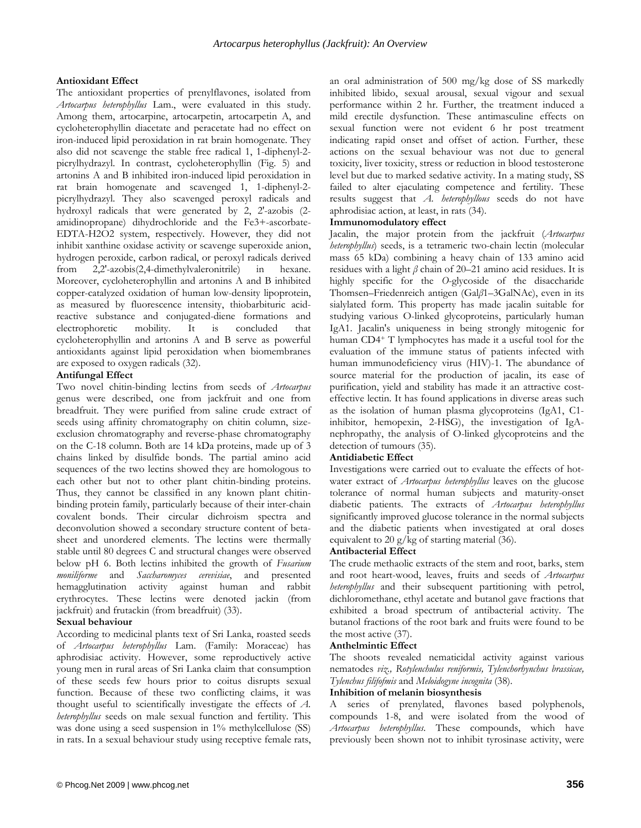## **Antioxidant Effect**

The antioxidant properties of prenylflavones, isolated from *Artocarpus heterophyllus* Lam., were evaluated in this study. Among them, artocarpine, artocarpetin, artocarpetin A, and cycloheterophyllin diacetate and peracetate had no effect on iron-induced lipid peroxidation in rat brain homogenate. They also did not scavenge the stable free radical 1, 1-diphenyl-2 picrylhydrazyl. In contrast, cycloheterophyllin (Fig. 5) and artonins A and B inhibited iron-induced lipid peroxidation in rat brain homogenate and scavenged 1, 1-diphenyl-2 picrylhydrazyl. They also scavenged peroxyl radicals and hydroxyl radicals that were generated by 2, 2'-azobis (2 amidinopropane) dihydrochloride and the Fe3+-ascorbate-EDTA-H2O2 system, respectively. However, they did not inhibit xanthine oxidase activity or scavenge superoxide anion, hydrogen peroxide, carbon radical, or peroxyl radicals derived from 2,2'-azobis(2,4-dimethylvaleronitrile) in hexane. Moreover, cycloheterophyllin and artonins A and B inhibited copper-catalyzed oxidation of human low-density lipoprotein, as measured by fluorescence intensity, thiobarbituric acidreactive substance and conjugated-diene formations and electrophoretic mobility. It is concluded that cycloheterophyllin and artonins A and B serve as powerful antioxidants against lipid peroxidation when biomembranes are exposed to oxygen radicals (32).

## **Antifungal Effect**

Two novel chitin-binding lectins from seeds of *Artocarpus*  genus were described, one from jackfruit and one from breadfruit. They were purified from saline crude extract of seeds using affinity chromatography on chitin column, sizeexclusion chromatography and reverse-phase chromatography on the C-18 column. Both are 14 kDa proteins, made up of 3 chains linked by disulfide bonds. The partial amino acid sequences of the two lectins showed they are homologous to each other but not to other plant chitin-binding proteins. Thus, they cannot be classified in any known plant chitinbinding protein family, particularly because of their inter-chain covalent bonds. Their circular dichroism spectra and deconvolution showed a secondary structure content of betasheet and unordered elements. The lectins were thermally stable until 80 degrees C and structural changes were observed below pH 6. Both lectins inhibited the growth of *Fusarium moniliforme* and *Saccharomyces cerevisiae*, and presented hemagglutination activity against human and rabbit erythrocytes. These lectins were denoted jackin (from jackfruit) and frutackin (from breadfruit) (33).

## **Sexual behaviour**

According to medicinal plants text of Sri Lanka, roasted seeds of *Artocarpus heterophyllus* Lam. (Family: Moraceae) has aphrodisiac activity. However, some reproductively active young men in rural areas of Sri Lanka claim that consumption of these seeds few hours prior to coitus disrupts sexual function. Because of these two conflicting claims, it was thought useful to scientifically investigate the effects of *A. heterophyllus* seeds on male sexual function and fertility. This was done using a seed suspension in 1% methylcellulose (SS) in rats. In a sexual behaviour study using receptive female rats,

an oral administration of 500 mg/kg dose of SS markedly inhibited libido, sexual arousal, sexual vigour and sexual performance within 2 hr. Further, the treatment induced a mild erectile dysfunction. These antimasculine effects on sexual function were not evident 6 hr post treatment indicating rapid onset and offset of action. Further, these actions on the sexual behaviour was not due to general toxicity, liver toxicity, stress or reduction in blood testosterone level but due to marked sedative activity. In a mating study, SS failed to alter ejaculating competence and fertility. These results suggest that *A. heterophyllous* seeds do not have aphrodisiac action, at least, in rats (34).

## **Immunomodulatory effect**

Jacalin, the major protein from the jackfruit (*Artocarpus heterophyllus*) seeds, is a tetrameric two-chain lectin (molecular mass 65 kDa) combining a heavy chain of 133 amino acid residues with a light *β* chain of 20–21 amino acid residues. It is highly specific for the *O*-glycoside of the disaccharide Thomsen–Friedenreich antigen (Gal*β*1–3GalNAc), even in its sialylated form. This property has made jacalin suitable for studying various O-linked glycoproteins, particularly human IgA1. Jacalin's uniqueness in being strongly mitogenic for human CD4<sup>+</sup> T lymphocytes has made it a useful tool for the evaluation of the immune status of patients infected with human immunodeficiency virus (HIV)-1. The abundance of source material for the production of jacalin, its ease of purification, yield and stability has made it an attractive costeffective lectin. It has found applications in diverse areas such as the isolation of human plasma glycoproteins (IgA1, C1 inhibitor, hemopexin, 2-HSG), the investigation of IgAnephropathy, the analysis of O-linked glycoproteins and the detection of tumours (35).

## **Antidiabetic Effect**

Investigations were carried out to evaluate the effects of hotwater extract of *Artocarpus heterophyllus* leaves on the glucose tolerance of normal human subjects and maturity-onset diabetic patients. The extracts of *Artocarpus heterophyllus* significantly improved glucose tolerance in the normal subjects and the diabetic patients when investigated at oral doses equivalent to 20 g/kg of starting material (36).

## **Antibacterial Effect**

The crude methaolic extracts of the stem and root, barks, stem and root heart-wood, leaves, fruits and seeds of *Artocarpus heterophyllus* and their subsequent partitioning with petrol, dichloromethane, ethyl acetate and butanol gave fractions that exhibited a broad spectrum of antibacterial activity. The butanol fractions of the root bark and fruits were found to be the most active (37).

## **Anthelmintic Effect**

The shoots revealed nematicidal activity against various nematodes *viz., Rotylenchulus reniformis, Tylenchorhynchus brassicae, Tylenchus filifofmis* and *Meloidogyne incognita* (38).

## **Inhibition of melanin biosynthesis**

A series of prenylated, flavones based polyphenols, compounds 1-8, and were isolated from the wood of *Artocarpus heterophyllus*. These compounds, which have previously been shown not to inhibit tyrosinase activity, were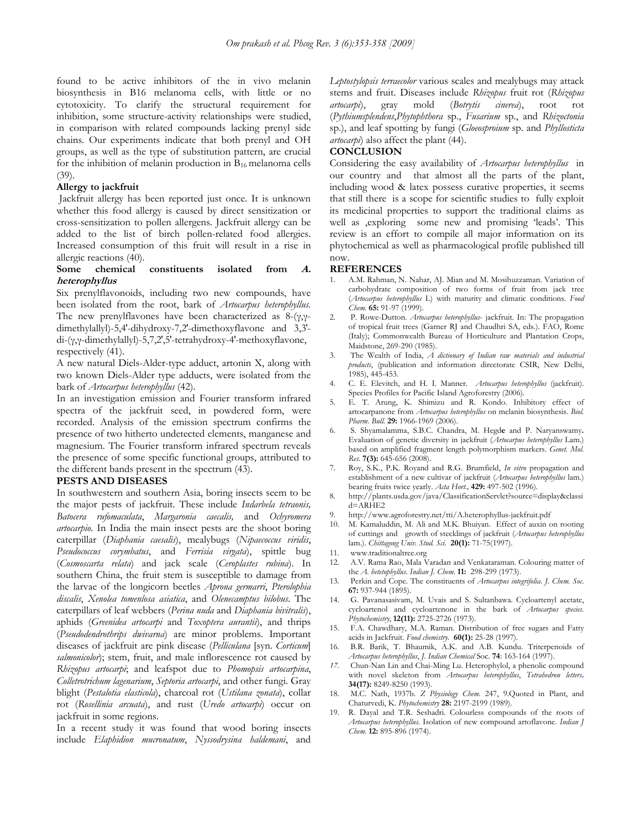found to be active inhibitors of the in vivo melanin biosynthesis in B16 melanoma cells, with little or no cytotoxicity. To clarify the structural requirement for inhibition, some structure-activity relationships were studied, in comparison with related compounds lacking prenyl side chains. Our experiments indicate that both prenyl and OH groups, as well as the type of substitution pattern, are crucial for the inhibition of melanin production in  $B_{16}$  melanoma cells (39).

#### **Allergy to jackfruit**

 Jackfruit allergy has been reported just once. It is unknown whether this food allergy is caused by direct sensitization or cross-sensitization to pollen allergens. Jackfruit allergy can be added to the list of birch pollen-related food allergies. Increased consumption of this fruit will result in a rise in allergic reactions (40).

## Some chemical constituents isolated from *A*. **heterophyllus**

Six prenylflavonoids, including two new compounds, have been isolated from the root, bark of *Artocarpus heterophyllus.* The new prenylflavones have been characterized as  $8-(\gamma,\gamma$ dimethylallyl)-5,4′-dihydroxy-7,2′-dimethoxyflavone and 3,3′ di-(γ,γ-dimethylallyl)-5,7,2′,5′-tetrahydroxy-4′-methoxyflavone, respectively (41).

A new natural Diels-Alder-type adduct, artonin X, along with two known Diels-Alder type adducts, were isolated from the bark of *Artocarpus heterophyllus* (42).

In an investigation emission and Fourier transform infrared spectra of the jackfruit seed, in powdered form, were recorded. Analysis of the emission spectrum confirms the presence of two hitherto undetected elements, manganese and magnesium. The Fourier transform infrared spectrum reveals the presence of some specific functional groups, attributed to the different bands present in the spectrum (43).

#### **PESTS AND DISEASES**

In southwestern and southern Asia, boring insects seem to be the major pests of jackfruit. These include *Indarbela tetraonis, Batocera rufomaculata*, *Margaronia caecalis,* and *Ochyromera artocarpio*. In India the main insect pests are the shoot boring caterpillar (*Diaphania caesalis*), mealybugs (*Nipaecoccus viridis*, *Pseudococcus corymbatus*, and *Ferrisia virgata*), spittle bug (*Cosmoscarta relata*) and jack scale (*Ceroplastes rubina*). In southern China, the fruit stem is susceptible to damage from the larvae of the longicorn beetles *Aprona germarri*, *Pterolophia discalis*, *Xenolea tomenlosa asiatica*, and *Olenecamptus bilobus*. The caterpillars of leaf webbers (*Perina nuda* and *Diaphania bivitralis*), aphids (*Greenidea artocarpi* and *Toxoptera aurantii*), and thrips (*Pseudodendrothrips dwivarna*) are minor problems. Important diseases of jackfruit are pink disease (*Pelliculana* [syn. *Corticum*] *salmonicolor*); stem, fruit, and male inflorescence rot caused by *Rhizopus artocarpi*; and leafspot due to *Phomopsis artocarpina*, *Colletrotrichum lagenarium*, *Septoria artocarpi*, and other fungi. Gray blight (*Pestalotia elasticola*), charcoal rot (*Ustilana zonata*), collar rot (*Rosellinia arcuata*), and rust (*Uredo artocarpi*) occur on jackfruit in some regions.

In a recent study it was found that wood boring insects include *Elaphidion mucronatum*, *Nyssodrysina haldemani*, and

*Leptostylopsis terraecolor* various scales and mealybugs may attack stems and fruit. Diseases include *Rhizopus* fruit rot (*Rhizopus artocarpi*), gray mold (*Botrytis cinerea*), root rot (*Pythiumsplendens*,*Phytophthora* sp., *Fusarium* sp., and *Rhizoctonia*  sp.), and leaf spotting by fungi (*Gloeosproium* sp. and *Phyllosticta artocarpi*) also affect the plant (44).

### **CONCLUSION**

Considering the easy availability of *Artocarpus heterophyllus* in our country and that almost all the parts of the plant, including wood & latex possess curative properties, it seems that still there is a scope for scientific studies to fully exploit its medicinal properties to support the traditional claims as well as ,exploring some new and promising 'leads'. This review is an effort to compile all major information on its phytochemical as well as pharmacological profile published till now.

### **REFERENCES**

- 1. A.M. Rahman, N. Nahar, AJ. Mian and M. Mosihuzzaman. Variation of carbohydrate composition of two forms of fruit from jack tree (*Artocarpus heterophyllus* L) with maturity and climatic conditions. *Food Chem.* **65:** 91-97 (1999).
- 2. P. Rowe-Dutton. *Artocarpus heterophyllus* jackfruit. In: The propagation of tropical fruit trees (Garner RJ and Chaudhri SA, eds.). FAO, Rome (Italy); Commonwealth Bureau of Horticulture and Plantation Crops, Maidstone, 269-290 (1985).
- 3. The Wealth of India, *A dictionary of Indian raw materials and industrial products*, (publication and information directorate CSIR, New Delhi, 1985), 445-453.
- 4. C. E. Elevitch, and H. I. Manner. *Artocarpus heterophyllus* (jackfruit). Species Profiles for Pacific Island Agroforestry (2006).
- 5. E. T. Arung, K. Shimizu and R. Kondo. Inhibitory effect of artocarpanone from *Artocarpus heterophyllus* on melanin biosynthesis. *Biol. Pharm. Bull.* **29:** 1966-1969 (2006).
- 6. S. Shyamalamma, S.B.C. Chandra, M. Hegd**e** and P. Naryanswamy**.**  Evaluation of genetic diversity in jackfruit (*Artocarpus heterophyllus* Lam.) based on amplified fragment length polymorphism markers. *Genet. Mol. Res*. **7(3):** 645-656 (2008).
- 7. Roy, S.K., P.K. Royand and R.G. Brumfield, *In vitro* propagation and establishment of a new cultivar of jackfruit (*Artocarpus heterophyllus* lam.) bearing fruits twice yearly. *Acta Hort.,* **429:** 497-502 (1996).
- 8. http://plants.usda.gov/java/ClassificationServlet?source=display&classi  $d = ARHE2$
- 9. http://www.agroforestry.net/tti/A.heterophyllus-jackfruit.pdf
- 10. M. Kamaluddin, M. Ali and M.K. Bhuiyan. Effect of auxin on rooting of cuttings and growth of stecklings of jackfruit (*Artocarpus heterophyllus* lam.). *Chittagong Univ. Stud. Sci*. **20(1):** 71-75(1997).
- 11. www.traditionaltree.org
- 12. A.V. Rama Rao, Mala Varadan and Venkataraman. Colouring matter of the *A. hetetophyllus. Indian J. Chem*. **11:** 298-299 (1973).
- 13. Perkin and Cope. The constituents of *Artocarpus integrifolia*. *J*. *Chem. Soc*. **67:** 937-944 (1895).
- 14. G. Pavanasasivam, M. Uvais and S. Sultanbawa. Cycloartenyl acetate, cycloartenol and cycloartenone in the bark of *Artocarpus species. Phytochemistry*, **12(11):** 2725-2726 (1973).
- 15. F.A. Chawdhary, M.A. Raman. Distribution of free sugars and Fatty acids in Jackfruit. *Food chemistry.* **60(1):** 25-28 (1997).
- 16. B.R. Barik, T. Bhaumik, A.K. and A.B. Kundu. Triterpenoids of *Artocarpus heterophyllus*, *J. Indian Chemical* Soc. **74**: 163-164 (1997).
- *17.* Chun-Nan Lin and Chai-Ming Lu. Heterophylol, a phenolic compound with novel skeleton from *Artocarpus heterophyllus*, *Tetrahedron letters***. 34(17):** 8249-8250 (1993).
- 18. M.C. Nath, 1937b. *Z Physiology Chem.* 247, 9.Quoted in Plant, and Chaturvedi, K. *Phytochemistry* **28:** 2197-2199 (1989).
- 19. R. Dayal and T.R. Seshadri. Colourless compounds of the roots of *Artocarpus heterophyllus.* Isolation of new compound artoflavone. *Indian J Chem.* **12:** 895-896 (1974).